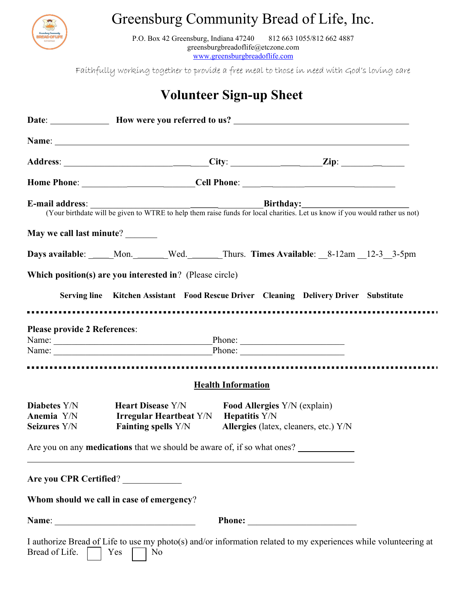

## Greensburg Community Bread of Life, Inc.

P.O. Box 42 Greensburg, Indiana 47240 812 663 1055/812 662 4887 greensburgbreadoflife@etczone.com www.greensburgbreadoflife.com

Faithfully working together to provide a free meal to those in need with God's loving care

## Volunteer Sign-up Sheet

|                                                   |                                                                                                                                |                                     | E-mail address: <u>Charlies</u> Court birthdate will be given to WTRE to help them raise funds for local charities. Let us know if you would rather us not) |
|---------------------------------------------------|--------------------------------------------------------------------------------------------------------------------------------|-------------------------------------|-------------------------------------------------------------------------------------------------------------------------------------------------------------|
| May we call last minute?                          |                                                                                                                                |                                     |                                                                                                                                                             |
|                                                   |                                                                                                                                |                                     | Days available: _____Mon.______Wed.______Thurs. Times Available: __8-12am __12-3__3-5pm                                                                     |
|                                                   | Which position(s) are you interested in? (Please circle)                                                                       |                                     |                                                                                                                                                             |
|                                                   |                                                                                                                                |                                     | Serving line Kitchen Assistant Food Rescue Driver Cleaning Delivery Driver Substitute                                                                       |
| <b>Please provide 2 References:</b>               | Name: Phone: Phone: Phone:                                                                                                     |                                     |                                                                                                                                                             |
|                                                   |                                                                                                                                |                                     |                                                                                                                                                             |
|                                                   |                                                                                                                                | <b>Health Information</b>           |                                                                                                                                                             |
| <b>Diabetes</b> Y/N<br>Anemia Y/N<br>Seizures Y/N | <b>Heart Disease Y/N</b><br>Irregular Heartbeat Y/N Hepatitis Y/N<br>Fainting spells Y/N Allergies (latex, cleaners, etc.) Y/N | <b>Food Allergies</b> Y/N (explain) |                                                                                                                                                             |
|                                                   | Are you on any <b>medications</b> that we should be aware of, if so what ones?                                                 |                                     |                                                                                                                                                             |
| Are you CPR Certified?                            |                                                                                                                                |                                     |                                                                                                                                                             |
|                                                   | Whom should we call in case of emergency?                                                                                      |                                     |                                                                                                                                                             |
|                                                   |                                                                                                                                |                                     |                                                                                                                                                             |
| Bread of Life.                                    | Yes<br>N <sub>o</sub>                                                                                                          |                                     | I authorize Bread of Life to use my photo(s) and/or information related to my experiences while volunteering at                                             |